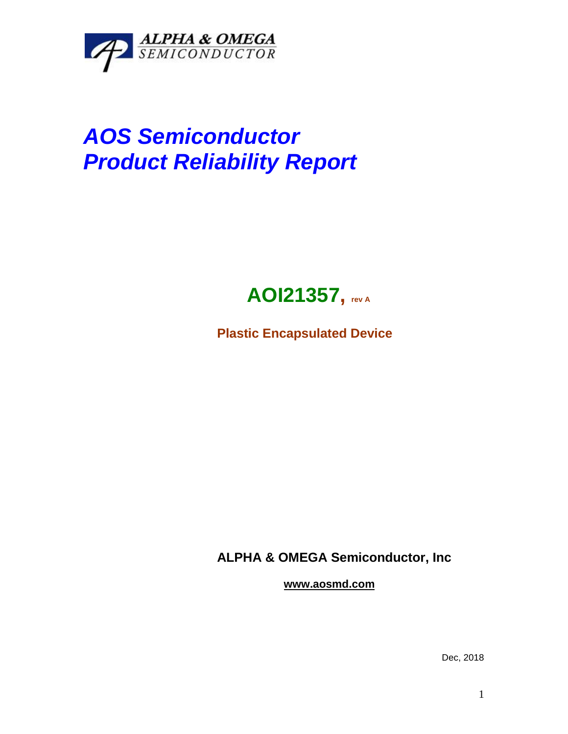

## *AOS Semiconductor Product Reliability Report*



**Plastic Encapsulated Device**

**ALPHA & OMEGA Semiconductor, Inc**

**www.aosmd.com**

Dec, 2018